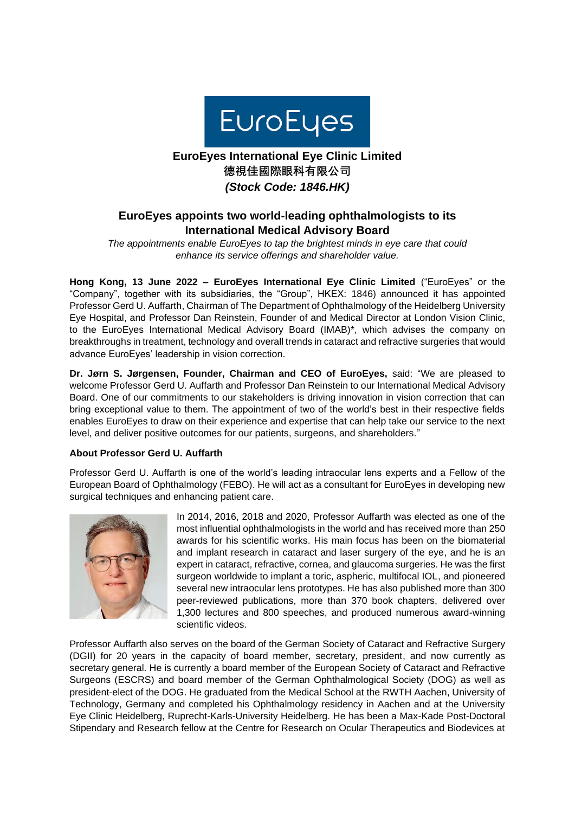

# **EuroEyes International Eye Clinic Limited 德視佳國際眼科有限公司** *(Stock Code: 1846.HK)*

## **EuroEyes appoints two world-leading ophthalmologists to its International Medical Advisory Board**

*The appointments enable EuroEyes to tap the brightest minds in eye care that could enhance its service offerings and shareholder value.*

**Hong Kong, 13 June 2022 – EuroEyes International Eye Clinic Limited** ("EuroEyes" or the "Company", together with its subsidiaries, the "Group", HKEX: 1846) announced it has appointed Professor Gerd U. Auffarth, Chairman of The Department of Ophthalmology of the Heidelberg University Eye Hospital, and Professor Dan Reinstein, Founder of and Medical Director at London Vision Clinic, to the EuroEyes International Medical Advisory Board (IMAB)\*, which advises the company on breakthroughs in treatment, technology and overall trends in cataract and refractive surgeries that would advance EuroEyes' leadership in vision correction.

**Dr. Jørn S. Jørgensen, Founder, Chairman and CEO of EuroEyes,** said: "We are pleased to welcome Professor Gerd U. Auffarth and Professor Dan Reinstein to our International Medical Advisory Board. One of our commitments to our stakeholders is driving innovation in vision correction that can bring exceptional value to them. The appointment of two of the world's best in their respective fields enables EuroEyes to draw on their experience and expertise that can help take our service to the next level, and deliver positive outcomes for our patients, surgeons, and shareholders."

### **About Professor Gerd U. Auffarth**

Professor Gerd U. Auffarth is one of the world's leading intraocular lens experts and a Fellow of the European Board of Ophthalmology (FEBO). He will act as a consultant for EuroEyes in developing new surgical techniques and enhancing patient care.



In 2014, 2016, 2018 and 2020, Professor Auffarth was elected as one of the most influential ophthalmologists in the world and has received more than 250 awards for his scientific works. His main focus has been on the biomaterial and implant research in cataract and laser surgery of the eye, and he is an expert in cataract, refractive, cornea, and glaucoma surgeries. He was the first surgeon worldwide to implant a toric, aspheric, multifocal IOL, and pioneered several new intraocular lens prototypes. He has also published more than 300 peer-reviewed publications, more than 370 book chapters, delivered over 1,300 lectures and 800 speeches, and produced numerous award-winning scientific videos.

Professor Auffarth also serves on the board of the German Society of Cataract and Refractive Surgery (DGII) for 20 years in the capacity of board member, secretary, president, and now currently as secretary general. He is currently a board member of the European Society of Cataract and Refractive Surgeons (ESCRS) and board member of the German Ophthalmological Society (DOG) as well as president-elect of the DOG. He graduated from the Medical School at the RWTH Aachen, University of Technology, Germany and completed his Ophthalmology residency in Aachen and at the University Eye Clinic Heidelberg, Ruprecht-Karls-University Heidelberg. He has been a Max-Kade Post-Doctoral Stipendary and Research fellow at the Centre for Research on Ocular Therapeutics and Biodevices at